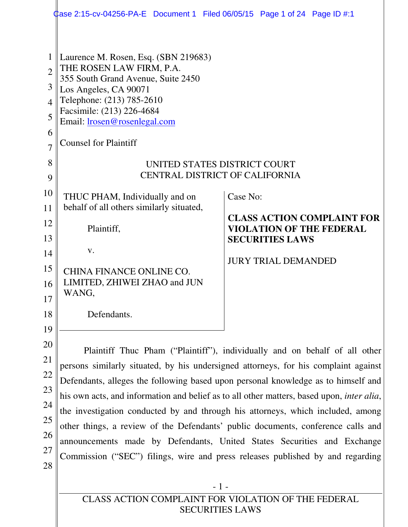|                                                                                  | $\,\,\downarrow$ ase 2:15-cv-04256-PA-E $\,\,\,$ Document 1 $\,\,\,$ Filed 06/05/15 $\,\,\,$ Page 1 of 24 $\,\,\,$ Page ID #:1 $\,\,\,$                                                                                                                                                                                                                                                                                                                                                                                                                                                                                                                                                         |                                                                                                |  |  |  |  |  |
|----------------------------------------------------------------------------------|-------------------------------------------------------------------------------------------------------------------------------------------------------------------------------------------------------------------------------------------------------------------------------------------------------------------------------------------------------------------------------------------------------------------------------------------------------------------------------------------------------------------------------------------------------------------------------------------------------------------------------------------------------------------------------------------------|------------------------------------------------------------------------------------------------|--|--|--|--|--|
| $\mathbf 1$<br>$\overline{2}$<br>3<br>$\overline{4}$<br>5<br>6<br>$\overline{7}$ | Laurence M. Rosen, Esq. (SBN 219683)<br>THE ROSEN LAW FIRM, P.A.<br>355 South Grand Avenue, Suite 2450<br>Los Angeles, CA 90071<br>Telephone: (213) 785-2610<br>Facsimile: (213) 226-4684<br>Email: lrosen@rosenlegal.com<br><b>Counsel for Plaintiff</b>                                                                                                                                                                                                                                                                                                                                                                                                                                       |                                                                                                |  |  |  |  |  |
| 8                                                                                | UNITED STATES DISTRICT COURT<br><b>CENTRAL DISTRICT OF CALIFORNIA</b>                                                                                                                                                                                                                                                                                                                                                                                                                                                                                                                                                                                                                           |                                                                                                |  |  |  |  |  |
| 9<br>10<br>11                                                                    | THUC PHAM, Individually and on<br>behalf of all others similarly situated,                                                                                                                                                                                                                                                                                                                                                                                                                                                                                                                                                                                                                      | Case No:                                                                                       |  |  |  |  |  |
| 12<br>13                                                                         | Plaintiff,                                                                                                                                                                                                                                                                                                                                                                                                                                                                                                                                                                                                                                                                                      | <b>CLASS ACTION COMPLAINT FOR</b><br><b>VIOLATION OF THE FEDERAL</b><br><b>SECURITIES LAWS</b> |  |  |  |  |  |
| 14<br>15<br>16                                                                   | V.<br>CHINA FINANCE ONLINE CO.<br>LIMITED, ZHIWEI ZHAO and JUN<br>WANG,                                                                                                                                                                                                                                                                                                                                                                                                                                                                                                                                                                                                                         | <b>JURY TRIAL DEMANDED</b>                                                                     |  |  |  |  |  |
| 17<br>18<br>19                                                                   | Defendants.                                                                                                                                                                                                                                                                                                                                                                                                                                                                                                                                                                                                                                                                                     |                                                                                                |  |  |  |  |  |
| 20<br>21<br>22<br>23<br>24<br>25<br>26<br>27<br>28                               | Plaintiff Thuc Pham ("Plaintiff"), individually and on behalf of all other<br>persons similarly situated, by his undersigned attorneys, for his complaint against<br>Defendants, alleges the following based upon personal knowledge as to himself and<br>his own acts, and information and belief as to all other matters, based upon, <i>inter alia</i> ,<br>the investigation conducted by and through his attorneys, which included, among<br>other things, a review of the Defendants' public documents, conference calls and<br>announcements made by Defendants, United States Securities and Exchange<br>Commission ("SEC") filings, wire and press releases published by and regarding |                                                                                                |  |  |  |  |  |
|                                                                                  | $-1-$<br>CLASS ACTION COMPLAINT FOR VIOLATION OF THE FEDERAL                                                                                                                                                                                                                                                                                                                                                                                                                                                                                                                                                                                                                                    |                                                                                                |  |  |  |  |  |

SECURITIES LAWS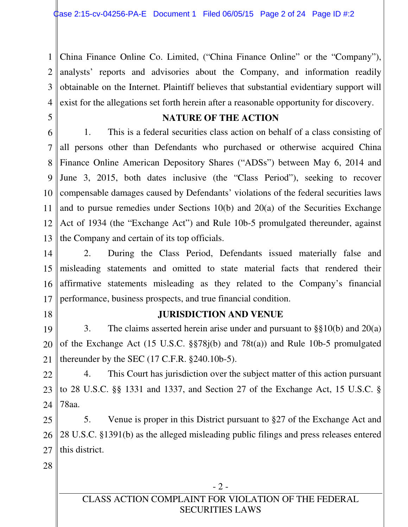1 2 3 4 China Finance Online Co. Limited, ("China Finance Online" or the "Company"), analysts' reports and advisories about the Company, and information readily obtainable on the Internet. Plaintiff believes that substantial evidentiary support will exist for the allegations set forth herein after a reasonable opportunity for discovery.

5

## **NATURE OF THE ACTION**

6 7 8 9 10 11 12 13 1. This is a federal securities class action on behalf of a class consisting of all persons other than Defendants who purchased or otherwise acquired China Finance Online American Depository Shares ("ADSs") between May 6, 2014 and June 3, 2015, both dates inclusive (the "Class Period"), seeking to recover compensable damages caused by Defendants' violations of the federal securities laws and to pursue remedies under Sections 10(b) and 20(a) of the Securities Exchange Act of 1934 (the "Exchange Act") and Rule 10b-5 promulgated thereunder, against the Company and certain of its top officials.

14 15 16 17 2. During the Class Period, Defendants issued materially false and misleading statements and omitted to state material facts that rendered their affirmative statements misleading as they related to the Company's financial performance, business prospects, and true financial condition.

18

### **JURISDICTION AND VENUE**

19 20 21 3. The claims asserted herein arise under and pursuant to §§10(b) and 20(a) of the Exchange Act (15 U.S.C. §§78j(b) and 78t(a)) and Rule 10b-5 promulgated thereunder by the SEC  $(17 \text{ C.F.R. } §240.10b-5)$ .

22 23 24 4. This Court has jurisdiction over the subject matter of this action pursuant to 28 U.S.C. §§ 1331 and 1337, and Section 27 of the Exchange Act, 15 U.S.C. § 78aa.

25 26 27 5. Venue is proper in this District pursuant to §27 of the Exchange Act and 28 U.S.C. §1391(b) as the alleged misleading public filings and press releases entered this district.

28

- 2 -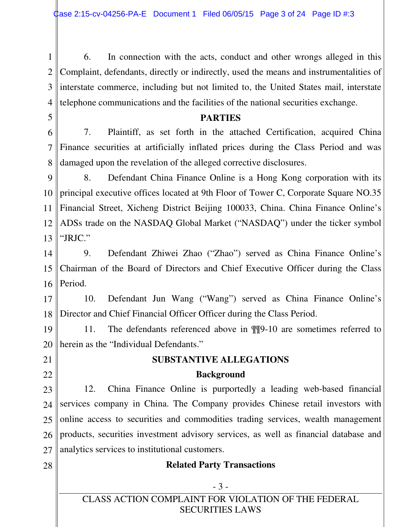1 2 3 4 6. In connection with the acts, conduct and other wrongs alleged in this Complaint, defendants, directly or indirectly, used the means and instrumentalities of interstate commerce, including but not limited to, the United States mail, interstate telephone communications and the facilities of the national securities exchange.

### **PARTIES**

6 7 8 7. Plaintiff, as set forth in the attached Certification, acquired China Finance securities at artificially inflated prices during the Class Period and was damaged upon the revelation of the alleged corrective disclosures.

9 10 11 12 13 8. Defendant China Finance Online is a Hong Kong corporation with its principal executive offices located at 9th Floor of Tower C, Corporate Square NO.35 Financial Street, Xicheng District Beijing 100033, China. China Finance Online's ADSs trade on the NASDAQ Global Market ("NASDAQ") under the ticker symbol "JRJC."

14 15 16 9. Defendant Zhiwei Zhao ("Zhao") served as China Finance Online's Chairman of the Board of Directors and Chief Executive Officer during the Class Period.

17 18 10. Defendant Jun Wang ("Wang") served as China Finance Online's Director and Chief Financial Officer Officer during the Class Period.

19 20 11. The defendants referenced above in ¶¶9-10 are sometimes referred to herein as the "Individual Defendants."

21

5

22

28

# **SUBSTANTIVE ALLEGATIONS Background**

23 24 25 26 27 12. China Finance Online is purportedly a leading web-based financial services company in China. The Company provides Chinese retail investors with online access to securities and commodities trading services, wealth management products, securities investment advisory services, as well as financial database and analytics services to institutional customers.

### **Related Party Transactions**

# - 3 -

CLASS ACTION COMPLAINT FOR VIOLATION OF THE FEDERAL SECURITIES LAWS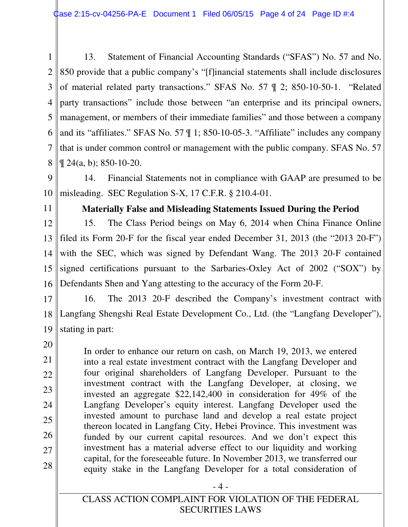1 2 3 4 5 6 7 8 13. Statement of Financial Accounting Standards ("SFAS") No. 57 and No. 850 provide that a public company's "[f]inancial statements shall include disclosures of material related party transactions." SFAS No. 57 ¶ 2; 850-10-50-1. "Related party transactions" include those between "an enterprise and its principal owners, management, or members of their immediate families" and those between a company and its "affiliates." SFAS No. 57 ¶ 1; 850-10-05-3. "Affiliate" includes any company that is under common control or management with the public company. SFAS No. 57  $\P$  24(a, b): 850-10-20.

9 10 14. Financial Statements not in compliance with GAAP are presumed to be misleading. SEC Regulation S-X, 17 C.F.R. § 210.4-01.

11

### **Materially False and Misleading Statements Issued During the Period**

12 13 14 15 16 15. The Class Period beings on May 6, 2014 when China Finance Online filed its Form 20-F for the fiscal year ended December 31, 2013 (the "2013 20-F") with the SEC, which was signed by Defendant Wang. The 2013 20-F contained signed certifications pursuant to the Sarbaries-Oxley Act of 2002 ("SOX") by Defendants Shen and Yang attesting to the accuracy of the Form 20-F.

17 18 19 16. The 2013 20-F described the Company's investment contract with Langfang Shengshi Real Estate Development Co., Ltd. (the "Langfang Developer"), stating in part:

20

21 22 23 24 25 26 27 28 In order to enhance our return on cash, on March 19, 2013, we entered into a real estate investment contract with the Langfang Developer and four original shareholders of Langfang Developer. Pursuant to the investment contract with the Langfang Developer, at closing, we invested an aggregate \$22,142,400 in consideration for 49% of the Langfang Developer's equity interest. Langfang Developer used the invested amount to purchase land and develop a real estate project thereon located in Langfang City, Hebei Province. This investment was funded by our current capital resources. And we don't expect this investment has a material adverse effect to our liquidity and working capital, for the foreseeable future. In November 2013, we transferred our equity stake in the Langfang Developer for a total consideration of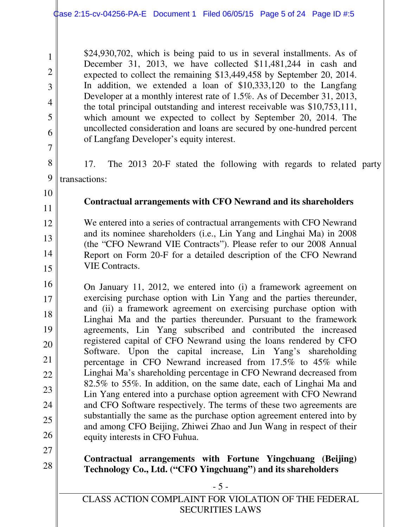2

3

4

5

6

7

8

9

10

11

12

13

14

15

27

\$24,930,702, which is being paid to us in several installments. As of December 31, 2013, we have collected \$11,481,244 in cash and expected to collect the remaining \$13,449,458 by September 20, 2014. In addition, we extended a loan of \$10,333,120 to the Langfang Developer at a monthly interest rate of 1.5%. As of December 31, 2013, the total principal outstanding and interest receivable was \$10,753,111, which amount we expected to collect by September 20, 2014. The uncollected consideration and loans are secured by one-hundred percent of Langfang Developer's equity interest.

17. The 2013 20-F stated the following with regards to related party transactions:

### **Contractual arrangements with CFO Newrand and its shareholders**

We entered into a series of contractual arrangements with CFO Newrand and its nominee shareholders (i.e., Lin Yang and Linghai Ma) in 2008 (the "CFO Newrand VIE Contracts"). Please refer to our 2008 Annual Report on Form 20-F for a detailed description of the CFO Newrand VIE Contracts.

16 17 18 19 20 21 22 23 24 25 26 On January 11, 2012, we entered into (i) a framework agreement on exercising purchase option with Lin Yang and the parties thereunder, and (ii) a framework agreement on exercising purchase option with Linghai Ma and the parties thereunder. Pursuant to the framework agreements, Lin Yang subscribed and contributed the increased registered capital of CFO Newrand using the loans rendered by CFO Software. Upon the capital increase, Lin Yang's shareholding percentage in CFO Newrand increased from 17.5% to 45% while Linghai Ma's shareholding percentage in CFO Newrand decreased from 82.5% to 55%. In addition, on the same date, each of Linghai Ma and Lin Yang entered into a purchase option agreement with CFO Newrand and CFO Software respectively. The terms of these two agreements are substantially the same as the purchase option agreement entered into by and among CFO Beijing, Zhiwei Zhao and Jun Wang in respect of their equity interests in CFO Fuhua.

#### 28 **Contractual arrangements with Fortune Yingchuang (Beijing) Technology Co., Ltd. ("CFO Yingchuang") and its shareholders**

- 5 -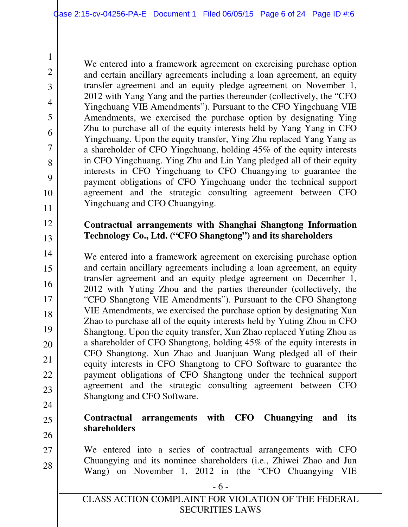We entered into a framework agreement on exercising purchase option and certain ancillary agreements including a loan agreement, an equity transfer agreement and an equity pledge agreement on November 1, 2012 with Yang Yang and the parties thereunder (collectively, the "CFO Yingchuang VIE Amendments"). Pursuant to the CFO Yingchuang VIE Amendments, we exercised the purchase option by designating Ying Zhu to purchase all of the equity interests held by Yang Yang in CFO Yingchuang. Upon the equity transfer, Ying Zhu replaced Yang Yang as a shareholder of CFO Yingchuang, holding 45% of the equity interests in CFO Yingchuang. Ying Zhu and Lin Yang pledged all of their equity interests in CFO Yingchuang to CFO Chuangying to guarantee the payment obligations of CFO Yingchuang under the technical support agreement and the strategic consulting agreement between CFO Yingchuang and CFO Chuangying.

## **Contractual arrangements with Shanghai Shangtong Information Technology Co., Ltd. ("CFO Shangtong") and its shareholders**

14 15 16 17 18 19 20 21 22 23 We entered into a framework agreement on exercising purchase option and certain ancillary agreements including a loan agreement, an equity transfer agreement and an equity pledge agreement on December 1, 2012 with Yuting Zhou and the parties thereunder (collectively, the "CFO Shangtong VIE Amendments"). Pursuant to the CFO Shangtong VIE Amendments, we exercised the purchase option by designating Xun Zhao to purchase all of the equity interests held by Yuting Zhou in CFO Shangtong. Upon the equity transfer, Xun Zhao replaced Yuting Zhou as a shareholder of CFO Shangtong, holding 45% of the equity interests in CFO Shangtong. Xun Zhao and Juanjuan Wang pledged all of their equity interests in CFO Shangtong to CFO Software to guarantee the payment obligations of CFO Shangtong under the technical support agreement and the strategic consulting agreement between CFO Shangtong and CFO Software.

24

25

1

2

3

4

5

6

7

8

9

10

11

12

13

### **Contractual arrangements with CFO Chuangying and its shareholders**

- 26
- 27 28 We entered into a series of contractual arrangements with CFO Chuangying and its nominee shareholders (i.e., Zhiwei Zhao and Jun Wang) on November 1, 2012 in (the "CFO Chuangying VIE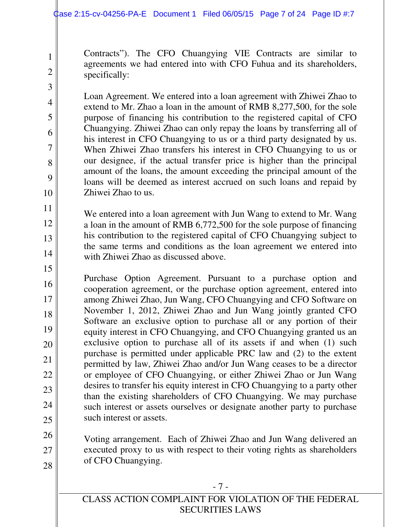2

3

4

5

6

7

8

9

10

15

26

27

28

Contracts"). The CFO Chuangying VIE Contracts are similar to agreements we had entered into with CFO Fuhua and its shareholders, specifically:

Loan Agreement. We entered into a loan agreement with Zhiwei Zhao to extend to Mr. Zhao a loan in the amount of RMB 8,277,500, for the sole purpose of financing his contribution to the registered capital of CFO Chuangying. Zhiwei Zhao can only repay the loans by transferring all of his interest in CFO Chuangying to us or a third party designated by us. When Zhiwei Zhao transfers his interest in CFO Chuangying to us or our designee, if the actual transfer price is higher than the principal amount of the loans, the amount exceeding the principal amount of the loans will be deemed as interest accrued on such loans and repaid by Zhiwei Zhao to us.

11 12 13 14 We entered into a loan agreement with Jun Wang to extend to Mr. Wang a loan in the amount of RMB 6,772,500 for the sole purpose of financing his contribution to the registered capital of CFO Chuangying subject to the same terms and conditions as the loan agreement we entered into with Zhiwei Zhao as discussed above.

16 17 18 19 20 21 22 23 24 25 Purchase Option Agreement. Pursuant to a purchase option and cooperation agreement, or the purchase option agreement, entered into among Zhiwei Zhao, Jun Wang, CFO Chuangying and CFO Software on November 1, 2012, Zhiwei Zhao and Jun Wang jointly granted CFO Software an exclusive option to purchase all or any portion of their equity interest in CFO Chuangying, and CFO Chuangying granted us an exclusive option to purchase all of its assets if and when (1) such purchase is permitted under applicable PRC law and (2) to the extent permitted by law, Zhiwei Zhao and/or Jun Wang ceases to be a director or employee of CFO Chuangying, or either Zhiwei Zhao or Jun Wang desires to transfer his equity interest in CFO Chuangying to a party other than the existing shareholders of CFO Chuangying. We may purchase such interest or assets ourselves or designate another party to purchase such interest or assets.

Voting arrangement. Each of Zhiwei Zhao and Jun Wang delivered an executed proxy to us with respect to their voting rights as shareholders of CFO Chuangying.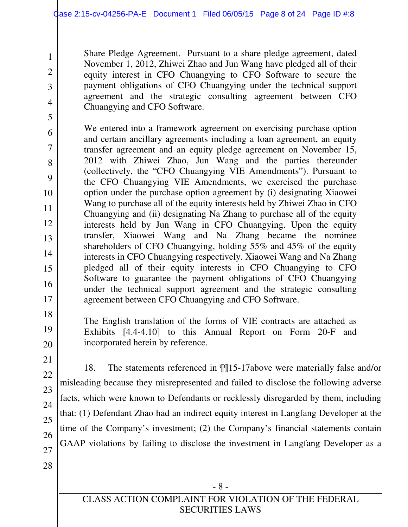Share Pledge Agreement. Pursuant to a share pledge agreement, dated November 1, 2012, Zhiwei Zhao and Jun Wang have pledged all of their equity interest in CFO Chuangying to CFO Software to secure the payment obligations of CFO Chuangying under the technical support agreement and the strategic consulting agreement between CFO Chuangying and CFO Software.

6 7 8 9 10 11 12 13 14 15 16 17 We entered into a framework agreement on exercising purchase option and certain ancillary agreements including a loan agreement, an equity transfer agreement and an equity pledge agreement on November 15, 2012 with Zhiwei Zhao, Jun Wang and the parties thereunder (collectively, the "CFO Chuangying VIE Amendments"). Pursuant to the CFO Chuangying VIE Amendments, we exercised the purchase option under the purchase option agreement by (i) designating Xiaowei Wang to purchase all of the equity interests held by Zhiwei Zhao in CFO Chuangying and (ii) designating Na Zhang to purchase all of the equity interests held by Jun Wang in CFO Chuangying. Upon the equity transfer, Xiaowei Wang and Na Zhang became the nominee shareholders of CFO Chuangying, holding 55% and 45% of the equity interests in CFO Chuangying respectively. Xiaowei Wang and Na Zhang pledged all of their equity interests in CFO Chuangying to CFO Software to guarantee the payment obligations of CFO Chuangying under the technical support agreement and the strategic consulting agreement between CFO Chuangying and CFO Software.

18

1

2

3

4

5

19 20 The English translation of the forms of VIE contracts are attached as Exhibits [4.4-4.10] to this Annual Report on Form 20-F and incorporated herein by reference.

21 22

23

24

25

26

27

28

18. The statements referenced in ¶¶15-17above were materially false and/or misleading because they misrepresented and failed to disclose the following adverse facts, which were known to Defendants or recklessly disregarded by them, including that: (1) Defendant Zhao had an indirect equity interest in Langfang Developer at the time of the Company's investment; (2) the Company's financial statements contain GAAP violations by failing to disclose the investment in Langfang Developer as a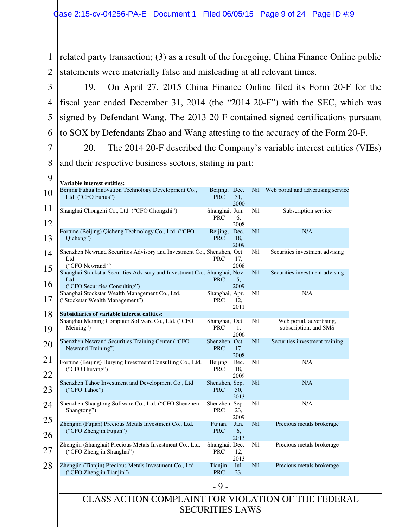1 related party transaction; (3) as a result of the foregoing, China Finance Online public 2 statements were materially false and misleading at all relevant times.

3 4 5 6 19. On April 27, 2015 China Finance Online filed its Form 20-F for the fiscal year ended December 31, 2014 (the "2014 20-F") with the SEC, which was signed by Defendant Wang. The 2013 20-F contained signed certifications pursuant to SOX by Defendants Zhao and Wang attesting to the accuracy of the Form 20-F.

7 8 20. The 2014 20-F described the Company's variable interest entities (VIEs) and their respective business sectors, stating in part:

9 ll

| 9        | Variable interest entities:                                                                                        |                              |                     |            |                                                   |
|----------|--------------------------------------------------------------------------------------------------------------------|------------------------------|---------------------|------------|---------------------------------------------------|
| 10       | Beijing Fuhua Innovation Technology Development Co.,<br>Ltd. ("CFO Fuhua")                                         | Beijing, Dec.<br><b>PRC</b>  | 31.<br>2000         | Nil        | Web portal and advertising service                |
| 11<br>12 | Shanghai Chongzhi Co., Ltd. ("CFO Chongzhi")                                                                       | Shanghai, Jun.<br><b>PRC</b> | 6,<br>2008          | Nil        | Subscription service                              |
| 13       | Fortune (Beijing) Qicheng Technology Co., Ltd. ("CFO<br>Qicheng")                                                  | Beijing, Dec.<br><b>PRC</b>  | 18,<br>2009         | <b>Nil</b> | N/A                                               |
| 14       | Shenzhen Newrand Securities Advisory and Investment Co., Shenzhen, Oct.<br>Ltd.<br>("CFO Newrand")                 | PRC                          | 17,<br>2008         | Nil        | Securities investment advising                    |
| 15<br>16 | Shanghai Stockstar Securities Advisory and Investment Co., Shanghai, Nov.<br>Ltd.                                  | <b>PRC</b>                   | 5.<br>2009          | <b>Nil</b> | Securities investment advising                    |
| 17       | ("CFO Securities Consulting")<br>Shanghai Stockstar Wealth Management Co., Ltd.<br>("Stockstar Wealth Management") | Shanghai, Apr.<br><b>PRC</b> | 12.<br>2011         | Nil        | N/A                                               |
| 18<br>19 | Subsidiaries of variable interest entities:<br>Shanghai Meining Computer Software Co., Ltd. ("CFO<br>Meining")     | Shanghai, Oct.<br><b>PRC</b> | 1.                  | Nil        | Web portal, advertising,<br>subscription, and SMS |
| 20       | Shenzhen Newrand Securities Training Center ("CFO<br>Newrand Training")                                            | Shenzhen, Oct.<br><b>PRC</b> | 2006<br>17,<br>2008 | <b>Nil</b> | Securities investment training                    |
| 21<br>22 | Fortune (Beijing) Huiying Investment Consulting Co., Ltd.<br>("CFO Huiying")                                       | Beijing, Dec.<br><b>PRC</b>  | 18,<br>2009         | Nil        | N/A                                               |
| 23       | Shenzhen Tahoe Investment and Development Co., Ltd<br>("CFO Tahoe")                                                | Shenzhen, Sep.<br><b>PRC</b> | 30,<br>2013         | <b>Nil</b> | N/A                                               |
| 24       | Shenzhen Shangtong Software Co., Ltd. ("CFO Shenzhen<br>Shangtong")                                                | Shenzhen, Sep.<br><b>PRC</b> | 23,<br>2009         | Nil        | N/A                                               |
| 25<br>26 | Zhengjin (Fujian) Precious Metals Investment Co., Ltd.<br>("CFO Zhengjin Fujian")                                  | Fujian,<br><b>PRC</b>        | Jan.<br>6,<br>2013  | <b>Nil</b> | Precious metals brokerage                         |
| 27       | Zhengjin (Shanghai) Precious Metals Investment Co., Ltd.<br>("CFO Zhengjin Shanghai")                              | Shanghai, Dec.<br><b>PRC</b> | 12,<br>2013         | Nil        | Precious metals brokerage                         |
| 28       | Zhengjin (Tianjin) Precious Metals Investment Co., Ltd.<br>("CFO Zhengjin Tianjin")                                | Tianjin,<br><b>PRC</b>       | Jul.<br>23,         | Nil        | Precious metals brokerage                         |
|          |                                                                                                                    | $-9-$                        |                     |            |                                                   |
|          | CLASS ACTION COMPLAINT FOR VIOLATION OF THE FEDERAL<br><b>SECURITIES LAWS</b>                                      |                              |                     |            |                                                   |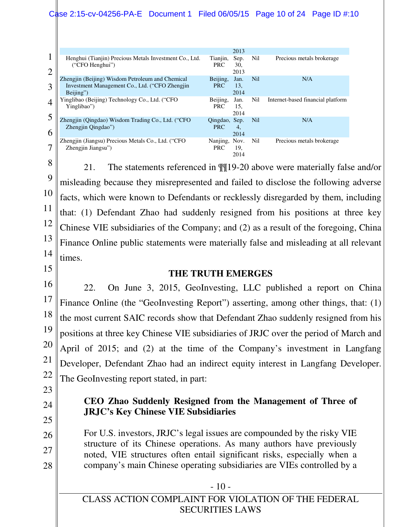### Case 2:15-cv-04256-PA-E Document 1 Filed 06/05/15 Page 10 of 24 Page ID #:10

|                |                                                                                                                 |                             | 2013                |            |                                   |
|----------------|-----------------------------------------------------------------------------------------------------------------|-----------------------------|---------------------|------------|-----------------------------------|
| $\overline{2}$ | Henghui (Tianjin) Precious Metals Investment Co., Ltd.<br>("CFO Henghui")                                       | Tianjin,<br><b>PRC</b>      | Sep.<br>30,<br>2013 | Nil        | Precious metals brokerage         |
| 3              | Zhengjin (Beijing) Wisdom Petroleum and Chemical<br>Investment Management Co., Ltd. ("CFO Zhengjin<br>Beijing") | Beijing,<br><b>PRC</b>      | Jan.<br>13.<br>2014 | <b>Nil</b> | N/A                               |
| 4              | Yinglibao (Beijing) Technology Co., Ltd. ("CFO<br>Yinglibao")                                                   | Beijing,<br><b>PRC</b>      | Jan.<br>15,<br>2014 | Nil        | Internet-based financial platform |
| 6              | Zhengjin (Qingdao) Wisdom Trading Co., Ltd. ("CFO<br>Zhengjin Qingdao")                                         | Qingdao, Sep.<br><b>PRC</b> | 4.<br>2014          | Nil        | N/A                               |
| 7              | Zhengjin (Jiangsu) Precious Metals Co., Ltd. ("CFO<br>Zhengjin Jiangsu")                                        | Nanjing, Nov.<br><b>PRC</b> | 19.<br>2014         | Nil        | Precious metals brokerage         |

8

9 10 11 12 13 14 21. The statements referenced in ¶¶19-20 above were materially false and/or misleading because they misrepresented and failed to disclose the following adverse facts, which were known to Defendants or recklessly disregarded by them, including that: (1) Defendant Zhao had suddenly resigned from his positions at three key Chinese VIE subsidiaries of the Company; and (2) as a result of the foregoing, China Finance Online public statements were materially false and misleading at all relevant times.

15

### **THE TRUTH EMERGES**

16 17 18 19 20 21 22 22. On June 3, 2015, GeoInvesting, LLC published a report on China Finance Online (the "GeoInvesting Report") asserting, among other things, that: (1) the most current SAIC records show that Defendant Zhao suddenly resigned from his positions at three key Chinese VIE subsidiaries of JRJC over the period of March and April of 2015; and (2) at the time of the Company's investment in Langfang Developer, Defendant Zhao had an indirect equity interest in Langfang Developer. The GeoInvesting report stated, in part:

- 23
- 24
- 25

26

27

28

### **CEO Zhao Suddenly Resigned from the Management of Three of JRJC's Key Chinese VIE Subsidiaries**

For U.S. investors, JRJC's legal issues are compounded by the risky VIE structure of its Chinese operations. As many authors have previously noted, VIE structures often entail significant risks, especially when a company's main Chinese operating subsidiaries are VIEs controlled by a

- 10 -

CLASS ACTION COMPLAINT FOR VIOLATION OF THE FEDERAL SECURITIES LAWS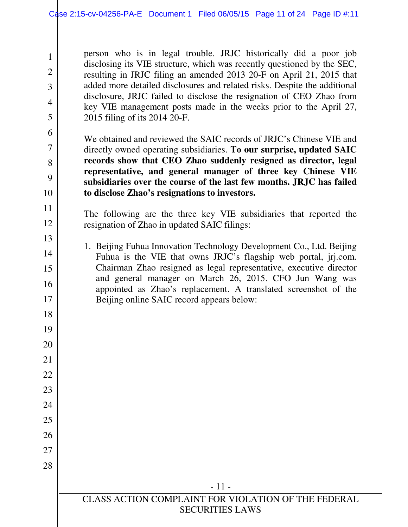2

3

4

5

6

7

8

9

10

11

12

13

14

15

16

17

18

19

20

21

22

23

24

25

26

27

28

person who is in legal trouble. JRJC historically did a poor job disclosing its VIE structure, which was recently questioned by the SEC, resulting in JRJC filing an amended 2013 20-F on April 21, 2015 that added more detailed disclosures and related risks. Despite the additional disclosure, JRJC failed to disclose the resignation of CEO Zhao from key VIE management posts made in the weeks prior to the April 27, 2015 filing of its 2014 20-F.

We obtained and reviewed the SAIC records of JRJC's Chinese VIE and directly owned operating subsidiaries. **To our surprise, updated SAIC records show that CEO Zhao suddenly resigned as director, legal representative, and general manager of three key Chinese VIE subsidiaries over the course of the last few months. JRJC has failed to disclose Zhao's resignations to investors.**

The following are the three key VIE subsidiaries that reported the resignation of Zhao in updated SAIC filings:

1. Beijing Fuhua Innovation Technology Development Co., Ltd. Beijing Fuhua is the VIE that owns JRJC's flagship web portal, jrj.com. Chairman Zhao resigned as legal representative, executive director and general manager on March 26, 2015. CFO Jun Wang was appointed as Zhao's replacement. A translated screenshot of the Beijing online SAIC record appears below:

- 11 -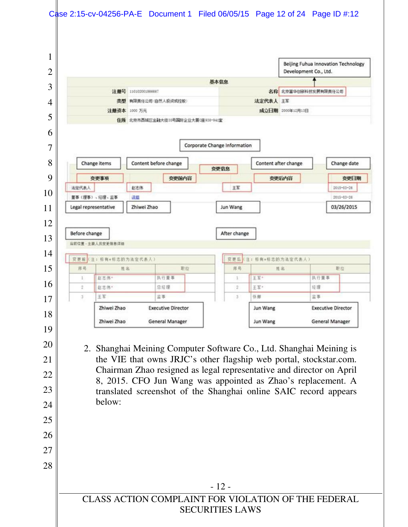|        |                                                                               |                                   |                              |                              | Beijing Fuhua Innovation Technology<br>Development Co., Ltd.                                                                                                                                                                                                                   |
|--------|-------------------------------------------------------------------------------|-----------------------------------|------------------------------|------------------------------|--------------------------------------------------------------------------------------------------------------------------------------------------------------------------------------------------------------------------------------------------------------------------------|
|        |                                                                               |                                   | 基本信息                         |                              |                                                                                                                                                                                                                                                                                |
|        | 注册号 110102001866667                                                           |                                   |                              |                              | 名称 北京富华创新科技发展有限责任公司                                                                                                                                                                                                                                                            |
|        | 注册资本 1000 万元                                                                  | 类型 有限责任公司(自然人投资或控股)               |                              | 法定代表人 王军<br>成立日期 2000年12月13日 |                                                                                                                                                                                                                                                                                |
|        |                                                                               | 住所 北京市西城区金融大街35号国际企业大厦(座938-941室) |                              |                              |                                                                                                                                                                                                                                                                                |
|        |                                                                               |                                   |                              |                              |                                                                                                                                                                                                                                                                                |
|        |                                                                               |                                   | Corporate Change Information |                              |                                                                                                                                                                                                                                                                                |
|        | Change items                                                                  | Content before change             |                              | Content after change         | Change date                                                                                                                                                                                                                                                                    |
|        |                                                                               |                                   | 变更信息                         |                              |                                                                                                                                                                                                                                                                                |
| 法定代表人  | 变更事项<br>起志伟                                                                   | 变更前内容                             | 王军                           | 变更后内容                        | 变更日期<br>2015-03-26                                                                                                                                                                                                                                                             |
|        | 董事(理事)、经理、监事<br>译题                                                            |                                   |                              |                              | 2015-03-26                                                                                                                                                                                                                                                                     |
|        | Legal representative<br>Zhiwei Zhao                                           |                                   | Jun Wang                     |                              | 03/26/2015                                                                                                                                                                                                                                                                     |
|        |                                                                               |                                   |                              |                              |                                                                                                                                                                                                                                                                                |
| 1      | 赵志伟*                                                                          | 执行董事                              | $\mathbf{1}$                 | 王军。                          | 执行董事                                                                                                                                                                                                                                                                           |
| 2<br>3 | 赵志伟*<br>王军                                                                    | 总经理<br>监事                         | $\overline{2}$<br>3          | 王辈。<br>张娜                    | 经理<br>监事                                                                                                                                                                                                                                                                       |
|        | Zhiwei Zhao                                                                   | <b>Executive Director</b>         |                              | Jun Wang                     | <b>Executive Director</b>                                                                                                                                                                                                                                                      |
|        | Zhiwei Zhao                                                                   | <b>General Manager</b>            |                              | Jun Wang                     | <b>General Manager</b>                                                                                                                                                                                                                                                         |
|        |                                                                               |                                   |                              |                              |                                                                                                                                                                                                                                                                                |
|        | 2. Shanghai Meining Computer Software Co., Ltd. Shanghai Meining is<br>below: |                                   |                              |                              | the VIE that owns JRJC's other flagship web portal, stockstar.com.<br>Chairman Zhao resigned as legal representative and director on April<br>8, 2015. CFO Jun Wang was appointed as Zhao's replacement. A<br>translated screenshot of the Shanghai online SAIC record appears |
|        |                                                                               |                                   |                              |                              |                                                                                                                                                                                                                                                                                |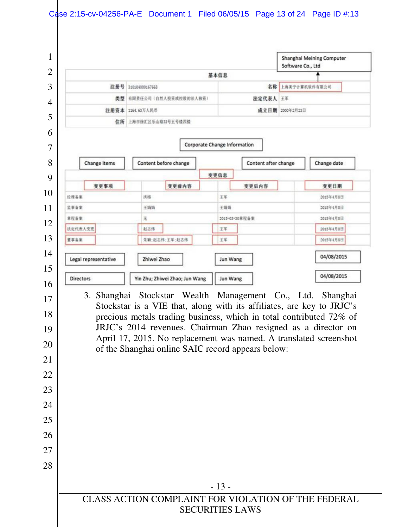|                      |                                                                                                                                                                                         |                              | Software Co., Ltd    | Shanghai Meining Computer |
|----------------------|-----------------------------------------------------------------------------------------------------------------------------------------------------------------------------------------|------------------------------|----------------------|---------------------------|
|                      |                                                                                                                                                                                         | 基本信息                         |                      |                           |
| 注册号                  | 310104000167663                                                                                                                                                                         |                              | 名称                   | 上海美宁计算机软件有限公司             |
|                      | 类型 有限责任公司(自然人投资或控股的法人独资)                                                                                                                                                                |                              | 法定代表人 王军             |                           |
|                      | 注册资本 1164.63万人民币                                                                                                                                                                        |                              | 成立日期 2000年2月23日      |                           |
|                      | 住所 上海市徐汇区乐山路33号五号楼西楼                                                                                                                                                                    |                              |                      |                           |
|                      |                                                                                                                                                                                         | Corporate Change Information |                      |                           |
| Change items         | Content before change                                                                                                                                                                   |                              | Content after change | Change date               |
|                      |                                                                                                                                                                                         | 变更信息                         |                      |                           |
| 变更事项<br>经理备案         | 变更前内容<br>洪格                                                                                                                                                                             | 变更后内容<br>王军                  |                      | 变更日期<br>2015年4月8日         |
| 兰事备案                 | 王娟娟                                                                                                                                                                                     | 王娟娟                          |                      | 2015年4月8日                 |
| 意程备案                 | 无                                                                                                                                                                                       | 2015-03-30 重程备案              |                      | 2015年4月8日                 |
| 法定代表人变更              | 赵志伟                                                                                                                                                                                     | 王军                           |                      | 2015年4月8日                 |
| 董事各案                 | 朱颖:赵志伟:王军;赵志伟                                                                                                                                                                           | 王军                           |                      | 2015年4月8日                 |
| Legal representative | Zhiwei Zhao                                                                                                                                                                             | Jun Wang                     |                      | 04/08/2015                |
| Directors            | Yin Zhu; Zhiwei Zhao; Jun Wang                                                                                                                                                          | Jun Wang                     |                      | 04/08/2015                |
|                      | Stockstar is a VIE that, along with its affiliates, are key to JRJC's<br>precious metals trading business, which in total contributed 72% of                                            |                              |                      |                           |
|                      | JRJC's 2014 revenues. Chairman Zhao resigned as a director on<br>April 17, 2015. No replacement was named. A translated screenshot<br>of the Shanghai online SAIC record appears below: |                              |                      |                           |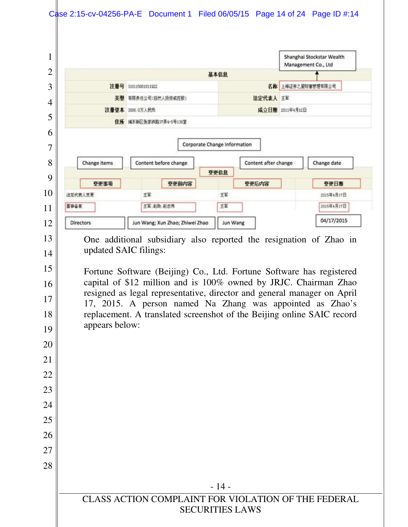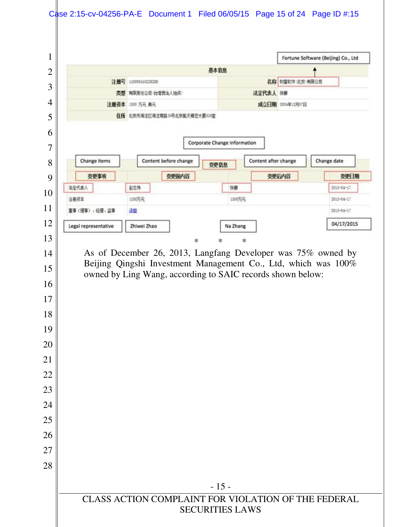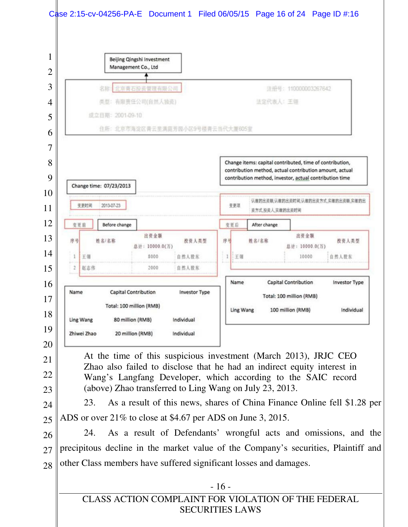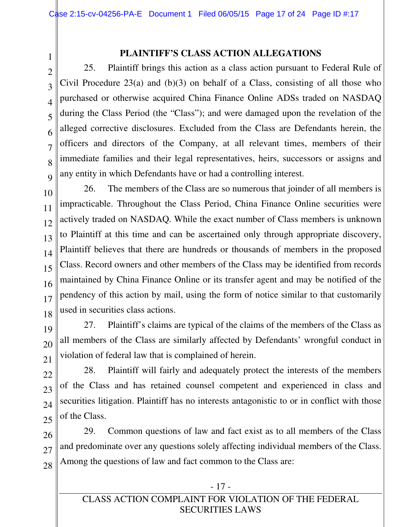22

23

24

25

### **PLAINTIFF'S CLASS ACTION ALLEGATIONS**

3 4 5 6 7 8  $\overline{Q}$ 25. Plaintiff brings this action as a class action pursuant to Federal Rule of Civil Procedure  $23(a)$  and  $(b)(3)$  on behalf of a Class, consisting of all those who purchased or otherwise acquired China Finance Online ADSs traded on NASDAQ during the Class Period (the "Class"); and were damaged upon the revelation of the alleged corrective disclosures. Excluded from the Class are Defendants herein, the officers and directors of the Company, at all relevant times, members of their immediate families and their legal representatives, heirs, successors or assigns and any entity in which Defendants have or had a controlling interest.

10 11 12 13 14 15 16 17 18 26. The members of the Class are so numerous that joinder of all members is impracticable. Throughout the Class Period, China Finance Online securities were actively traded on NASDAQ. While the exact number of Class members is unknown to Plaintiff at this time and can be ascertained only through appropriate discovery, Plaintiff believes that there are hundreds or thousands of members in the proposed Class. Record owners and other members of the Class may be identified from records maintained by China Finance Online or its transfer agent and may be notified of the pendency of this action by mail, using the form of notice similar to that customarily used in securities class actions.

19 20 21 27. Plaintiff's claims are typical of the claims of the members of the Class as all members of the Class are similarly affected by Defendants' wrongful conduct in violation of federal law that is complained of herein.

28. Plaintiff will fairly and adequately protect the interests of the members of the Class and has retained counsel competent and experienced in class and securities litigation. Plaintiff has no interests antagonistic to or in conflict with those of the Class.

26 27 28 29. Common questions of law and fact exist as to all members of the Class and predominate over any questions solely affecting individual members of the Class. Among the questions of law and fact common to the Class are: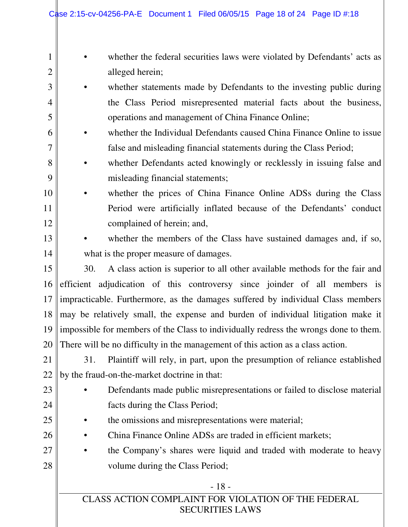| 1              |     | whether the federal securities laws were violated by Defendants' acts as             |
|----------------|-----|--------------------------------------------------------------------------------------|
| $\overline{2}$ |     | alleged herein;                                                                      |
| 3              |     | whether statements made by Defendants to the investing public during                 |
| 4              |     | the Class Period misrepresented material facts about the business,                   |
| 5              |     | operations and management of China Finance Online;                                   |
| 6              |     | whether the Individual Defendants caused China Finance Online to issue               |
| $\overline{7}$ |     | false and misleading financial statements during the Class Period;                   |
| 8              |     | whether Defendants acted knowingly or recklessly in issuing false and                |
| 9              |     | misleading financial statements;                                                     |
| 10             |     | whether the prices of China Finance Online ADSs during the Class                     |
| 11             |     | Period were artificially inflated because of the Defendants' conduct                 |
| 12             |     | complained of herein; and,                                                           |
| 13             |     | whether the members of the Class have sustained damages and, if so,                  |
| 14             |     | what is the proper measure of damages.                                               |
| 15             | 30. | A class action is superior to all other available methods for the fair and           |
| 16             |     | efficient adjudication of this controversy since joinder of all members is           |
| 17             |     | impracticable. Furthermore, as the damages suffered by individual Class members      |
| 18             |     | may be relatively small, the expense and burden of individual litigation make it     |
| 19             |     | impossible for members of the Class to individually redress the wrongs done to them. |
|                |     | 20 There will be no difficulty in the management of this action as a class action.   |
| 21             | 31. | Plaintiff will rely, in part, upon the presumption of reliance established           |
| 22             |     | by the fraud-on-the-market doctrine in that:                                         |
| 23             |     | Defendants made public misrepresentations or failed to disclose material             |
| 24             |     | facts during the Class Period;                                                       |
| 25             |     | the omissions and misrepresentations were material;                                  |
| 26             |     | China Finance Online ADSs are traded in efficient markets;                           |
| 27             |     | the Company's shares were liquid and traded with moderate to heavy                   |
| 28             |     | volume during the Class Period;                                                      |
|                |     | $-18-$                                                                               |
|                |     | CLASS ACTION COMPLAINT FOR VIOLATION OF THE FEDERAL                                  |

SECURITIES LAWS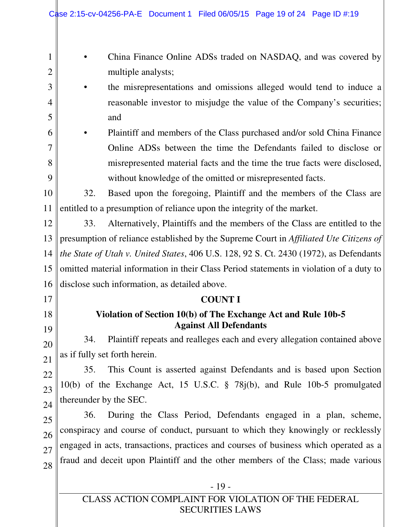| 1              |                                                                                         | China Finance Online ADSs traded on NASDAQ, and was covered by                                 |  |  |  |
|----------------|-----------------------------------------------------------------------------------------|------------------------------------------------------------------------------------------------|--|--|--|
| $\overline{2}$ |                                                                                         | multiple analysts;                                                                             |  |  |  |
| 3              |                                                                                         | the misrepresentations and omissions alleged would tend to induce a                            |  |  |  |
| 4              |                                                                                         | reasonable investor to misjudge the value of the Company's securities;                         |  |  |  |
| 5              |                                                                                         | and                                                                                            |  |  |  |
| 6              |                                                                                         | Plaintiff and members of the Class purchased and/or sold China Finance                         |  |  |  |
| 7              |                                                                                         | Online ADSs between the time the Defendants failed to disclose or                              |  |  |  |
| 8              |                                                                                         | misrepresented material facts and the time the true facts were disclosed,                      |  |  |  |
| 9              |                                                                                         | without knowledge of the omitted or misrepresented facts.                                      |  |  |  |
| 10             | 32.                                                                                     | Based upon the foregoing, Plaintiff and the members of the Class are                           |  |  |  |
| 11             |                                                                                         | entitled to a presumption of reliance upon the integrity of the market.                        |  |  |  |
| 12             | 33.                                                                                     | Alternatively, Plaintiffs and the members of the Class are entitled to the                     |  |  |  |
| 13             |                                                                                         | presumption of reliance established by the Supreme Court in Affiliated Ute Citizens of         |  |  |  |
| 14             |                                                                                         | the State of Utah v. United States, 406 U.S. 128, 92 S. Ct. 2430 (1972), as Defendants         |  |  |  |
| 15             | omitted material information in their Class Period statements in violation of a duty to |                                                                                                |  |  |  |
| 16             |                                                                                         | disclose such information, as detailed above.                                                  |  |  |  |
| 17             |                                                                                         | <b>COUNT I</b>                                                                                 |  |  |  |
| 18<br>19       |                                                                                         | Violation of Section 10(b) of The Exchange Act and Rule 10b-5<br><b>Against All Defendants</b> |  |  |  |
| 20             | 34.                                                                                     | Plaintiff repeats and realleges each and every allegation contained above                      |  |  |  |
| 21             |                                                                                         | as if fully set forth herein.                                                                  |  |  |  |
| 22             | 35.                                                                                     | This Count is asserted against Defendants and is based upon Section                            |  |  |  |
| 23             |                                                                                         | 10(b) of the Exchange Act, 15 U.S.C. § 78j(b), and Rule 10b-5 promulgated                      |  |  |  |
| 24             | thereunder by the SEC.                                                                  |                                                                                                |  |  |  |
| 25             | 36.                                                                                     | During the Class Period, Defendants engaged in a plan, scheme,                                 |  |  |  |
| 26             |                                                                                         | conspiracy and course of conduct, pursuant to which they knowingly or recklessly               |  |  |  |
| 27             |                                                                                         | engaged in acts, transactions, practices and courses of business which operated as a           |  |  |  |
| 28             |                                                                                         | fraud and deceit upon Plaintiff and the other members of the Class; made various               |  |  |  |
|                |                                                                                         |                                                                                                |  |  |  |
|                |                                                                                         | $-19-$                                                                                         |  |  |  |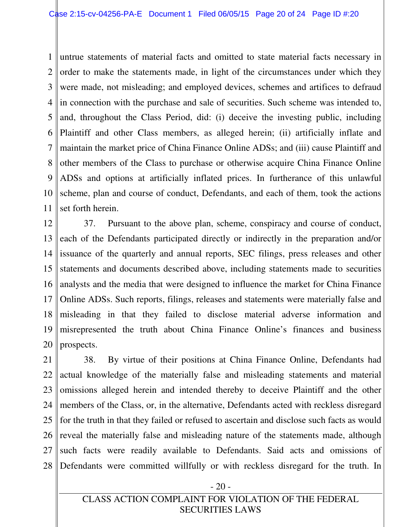1 2 3 4 5 6 7 8 9 10 11 untrue statements of material facts and omitted to state material facts necessary in order to make the statements made, in light of the circumstances under which they were made, not misleading; and employed devices, schemes and artifices to defraud in connection with the purchase and sale of securities. Such scheme was intended to, and, throughout the Class Period, did: (i) deceive the investing public, including Plaintiff and other Class members, as alleged herein; (ii) artificially inflate and maintain the market price of China Finance Online ADSs; and (iii) cause Plaintiff and other members of the Class to purchase or otherwise acquire China Finance Online ADSs and options at artificially inflated prices. In furtherance of this unlawful scheme, plan and course of conduct, Defendants, and each of them, took the actions set forth herein.

12 13 14 15 16 17 18 19 20 37. Pursuant to the above plan, scheme, conspiracy and course of conduct, each of the Defendants participated directly or indirectly in the preparation and/or issuance of the quarterly and annual reports, SEC filings, press releases and other statements and documents described above, including statements made to securities analysts and the media that were designed to influence the market for China Finance Online ADSs. Such reports, filings, releases and statements were materially false and misleading in that they failed to disclose material adverse information and misrepresented the truth about China Finance Online's finances and business prospects.

21 22 23 24 25 26 27 28 38. By virtue of their positions at China Finance Online, Defendants had actual knowledge of the materially false and misleading statements and material omissions alleged herein and intended thereby to deceive Plaintiff and the other members of the Class, or, in the alternative, Defendants acted with reckless disregard for the truth in that they failed or refused to ascertain and disclose such facts as would reveal the materially false and misleading nature of the statements made, although such facts were readily available to Defendants. Said acts and omissions of Defendants were committed willfully or with reckless disregard for the truth. In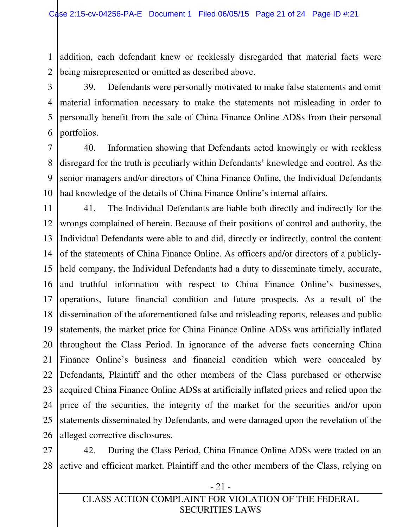1 2 addition, each defendant knew or recklessly disregarded that material facts were being misrepresented or omitted as described above.

3 4 5 6 39. Defendants were personally motivated to make false statements and omit material information necessary to make the statements not misleading in order to personally benefit from the sale of China Finance Online ADSs from their personal portfolios.

7 8 9 10 40. Information showing that Defendants acted knowingly or with reckless disregard for the truth is peculiarly within Defendants' knowledge and control. As the senior managers and/or directors of China Finance Online, the Individual Defendants had knowledge of the details of China Finance Online's internal affairs.

11 12 13 14 15 16 17 18 19 20 21 22 23 24 25 26 41. The Individual Defendants are liable both directly and indirectly for the wrongs complained of herein. Because of their positions of control and authority, the Individual Defendants were able to and did, directly or indirectly, control the content of the statements of China Finance Online. As officers and/or directors of a publiclyheld company, the Individual Defendants had a duty to disseminate timely, accurate, and truthful information with respect to China Finance Online's businesses, operations, future financial condition and future prospects. As a result of the dissemination of the aforementioned false and misleading reports, releases and public statements, the market price for China Finance Online ADSs was artificially inflated throughout the Class Period. In ignorance of the adverse facts concerning China Finance Online's business and financial condition which were concealed by Defendants, Plaintiff and the other members of the Class purchased or otherwise acquired China Finance Online ADSs at artificially inflated prices and relied upon the price of the securities, the integrity of the market for the securities and/or upon statements disseminated by Defendants, and were damaged upon the revelation of the alleged corrective disclosures.

27 28 42. During the Class Period, China Finance Online ADSs were traded on an active and efficient market. Plaintiff and the other members of the Class, relying on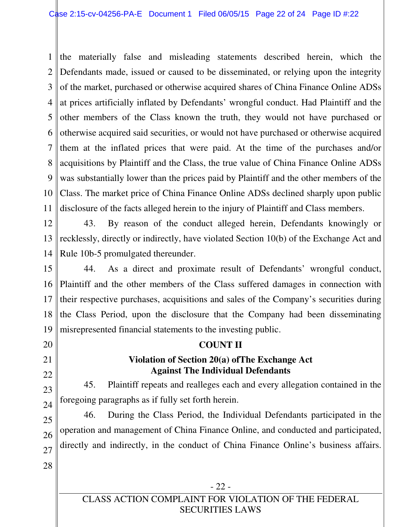1 2 3 4 5 6 7 8 9 10 11 the materially false and misleading statements described herein, which the Defendants made, issued or caused to be disseminated, or relying upon the integrity of the market, purchased or otherwise acquired shares of China Finance Online ADSs at prices artificially inflated by Defendants' wrongful conduct. Had Plaintiff and the other members of the Class known the truth, they would not have purchased or otherwise acquired said securities, or would not have purchased or otherwise acquired them at the inflated prices that were paid. At the time of the purchases and/or acquisitions by Plaintiff and the Class, the true value of China Finance Online ADSs was substantially lower than the prices paid by Plaintiff and the other members of the Class. The market price of China Finance Online ADSs declined sharply upon public disclosure of the facts alleged herein to the injury of Plaintiff and Class members.

12 13 14 43. By reason of the conduct alleged herein, Defendants knowingly or recklessly, directly or indirectly, have violated Section 10(b) of the Exchange Act and Rule 10b-5 promulgated thereunder.

15 16 17 18 19 44. As a direct and proximate result of Defendants' wrongful conduct, Plaintiff and the other members of the Class suffered damages in connection with their respective purchases, acquisitions and sales of the Company's securities during the Class Period, upon the disclosure that the Company had been disseminating misrepresented financial statements to the investing public.

**COUNT II** 

**Violation of Section 20(a) ofThe Exchange Act Against The Individual Defendants** 

foregoing paragraphs as if fully set forth herein.

45. Plaintiff repeats and realleges each and every allegation contained in the

20

21

### 22

23

24

25 26 27 28 46. During the Class Period, the Individual Defendants participated in the operation and management of China Finance Online, and conducted and participated, directly and indirectly, in the conduct of China Finance Online's business affairs.

CLASS ACTION COMPLAINT FOR VIOLATION OF THE FEDERAL SECURITIES LAWS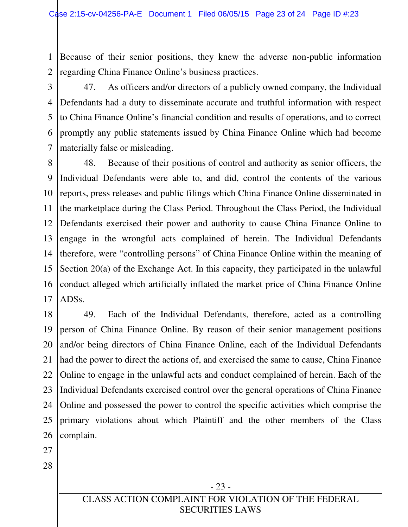1 2 Because of their senior positions, they knew the adverse non-public information regarding China Finance Online's business practices.

3 4 5 6 7 47. As officers and/or directors of a publicly owned company, the Individual Defendants had a duty to disseminate accurate and truthful information with respect to China Finance Online's financial condition and results of operations, and to correct promptly any public statements issued by China Finance Online which had become materially false or misleading.

8 9 10 11 12 13 14 15 16 17 48. Because of their positions of control and authority as senior officers, the Individual Defendants were able to, and did, control the contents of the various reports, press releases and public filings which China Finance Online disseminated in the marketplace during the Class Period. Throughout the Class Period, the Individual Defendants exercised their power and authority to cause China Finance Online to engage in the wrongful acts complained of herein. The Individual Defendants therefore, were "controlling persons" of China Finance Online within the meaning of Section 20(a) of the Exchange Act. In this capacity, they participated in the unlawful conduct alleged which artificially inflated the market price of China Finance Online ADSs.

18 19 20 21 22 23 24 25 26 49. Each of the Individual Defendants, therefore, acted as a controlling person of China Finance Online. By reason of their senior management positions and/or being directors of China Finance Online, each of the Individual Defendants had the power to direct the actions of, and exercised the same to cause, China Finance Online to engage in the unlawful acts and conduct complained of herein. Each of the Individual Defendants exercised control over the general operations of China Finance Online and possessed the power to control the specific activities which comprise the primary violations about which Plaintiff and the other members of the Class complain.

- 27
- 28

- 23 -